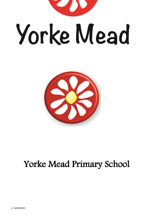



# Yorke Mead Primary School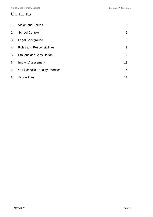### **Contents**

| 1: | <b>Vision and Values</b>                | 3  |
|----|-----------------------------------------|----|
| 2: | <b>School Context</b>                   | 5  |
| 3: | Legal Background                        | 6  |
| 4: | Roles and Responsibilities              | 9  |
| 5: | <b>Stakeholder Consultation</b>         | 12 |
| 6: | <b>Impact Assessment</b>                | 13 |
| 7: | <b>Our School's Equality Priorities</b> | 14 |
| 8: | <b>Action Plan</b>                      | 17 |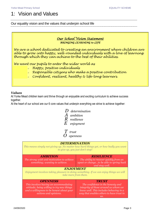### <span id="page-2-0"></span>1: Vision and Values

Our equality vision and the values that underpin school life

### *Our School Vision Statement BRINGING LEARNING to LIFE*

*We are a school dedicated to creating an environment where children are able to grow into happy, well-rounded individuals with a love of learning through which they can achieve to the best of their abilities.*

*We want our pupils to enter the wider world as*

- *<sup>o</sup> Happy, positive individuals*
- *<sup>o</sup> Responsible citizens who make a positive contribution*
- *<sup>o</sup> Confident, resilient, healthy & life-long learners.*

### *Values*

At Yorke Mead children learn and thrive through an enjoyable and exciting curriculum to achieve success together.

At the heart of our school are our 6 core values that underpin everything we strive to achieve together:



*E enjoyment*



 *O openness*

### *DETERMINATION*

*This means simply not giving up. No matter how hard things get, or how badly you want to give up, you just don't stop!*

| <b>AMBITION</b><br>The strong wish and motivation to achieve<br>something; wanting to achieve.                                                                              | <b>RESILIENCE</b><br>The ability to recover quickly from an<br>upset or changeto be able to spring back<br>and stay well.                                                              |
|-----------------------------------------------------------------------------------------------------------------------------------------------------------------------------|----------------------------------------------------------------------------------------------------------------------------------------------------------------------------------------|
| <b>ENJOYMENT</b><br>Enjoyment involves taking pleasure in doing something. If we can enjoy things we will                                                                   |                                                                                                                                                                                        |
| take more from them.                                                                                                                                                        |                                                                                                                                                                                        |
| <b>OPENNESS</b><br>This involves having an accommodating<br>attitude; being willing to try new things<br>and a willingness to be honest about your<br>actions and opinions. | <b>TRUST</b><br>The confidence in the honesty and<br>integrity of those around us whom we<br>know well. This includes behaving in a<br>way that enables others to have trust in<br>us. |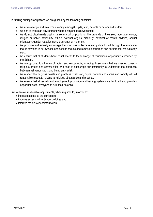In fulfilling our legal obligations we are guided by the following principles:

- We acknowledge and welcome diversity amongst pupils, staff, parents or carers and visitors.
- We aim to create an environment where everyone feels welcomed.
- We do not discriminate against anyone, staff or pupils, on the grounds of their sex, race, age, colour, religion or belief, nationality, ethnic, national origins, disability, physical or mental abilities, sexual orientation, gender reassignment, pregnancy or maternity.
- We promote and actively encourage the principles of fairness and justice for all through the education that is provided in our School, and seek to reduce and remove inequalities and barriers that may already exist.
- We ensure that all students have equal access to the full range of educational opportunities provided by the School.
- We are opposed to all forms of racism and xenophobia, including those forms that are directed towards religious groups and communities. We seek to encourage our community to understand the difference between being non-racist and being anti-racist.
- We respect the religious beliefs and practices of all staff, pupils, parents and carers and comply with all reasonable requests relating to religious observance and practice.
- We ensure that all recruitment, employment, promotion and training systems are fair to all, and provides opportunities for everyone to fulfil their potential.

We will make reasonable adjustments, when required to, in order to:

- increase access to the curriculum:
- improve access to the School building; and
- improve the delivery of information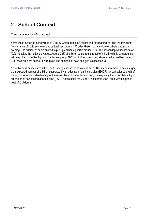### <span id="page-4-0"></span>2: **School Context**

#### The characteristics of our school

Yorke Mead School is in the village of Croxley Green, close to Watford and Rickmansworth. The children come from a range of socio economic and cultural backgrounds. Croxley Green has a mixture of private and social housing. The number of pupils entitled to pupil premium support is around 10%. The school deprivation indicator (0.08) is below the national average. Around 33% of children come from a range of minority ethnic backgrounds with any other mixed background the largest group. 16 % of children speak English as an additional language. 14% of children are on the SEN register. The numbers of boys and girls is almost equal.

Yorke Mead is an inclusive school and is recognised in the locality as such. This means we have a much larger than expected number of children supported by an education health care plan (EHCP). A particular strength of the school is in the understanding of the issues faced by adopted children; consequently the school has a high proportion of post looked after children (LAC). As we enter the 2020-21 academic year Yorke Mead supports 11 post LAC children.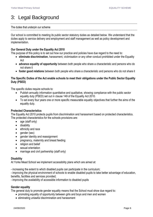## <span id="page-5-0"></span>3: Legal Background

#### The duties that underpin our scheme

Our school is committed to meeting its public sector statutory duties as detailed below. We understand that the duties apply to service delivery and employment and staff management as well as policy development and implementation.

### **Our General Duty under the Equality Act 2010**

The purpose of this policy is to set out how our practice and policies have due regard to the need to:

- **eliminate discrimination**, harassment, victimisation or any other conduct prohibited under the Equality Act
- **advance equality of opportunity** between both people who share a characteristic and persons who do not share it
- **foster good relations** between both people who share a characteristic and persons who do not share it

### **The Specific Duties of the Act enable schools to meet their obligations under the Public Sector Equality Duty (PSED)**

The specific duties require schools to:

- Publish annually information quantitative and qualitative, showing compliance with the public sector equality duty (PSED) set out in clause 149 of the Equality Act 2010.
- To set every four years one or more specific measurable equality objectives that further the aims of the equality duty.

### **Protected Characteristics**

The Equality Act 2010 protects pupils from discrimination and harassment based on protected characteristics. The protected characteristics for the schools provisions are:

- age (staff only)
- **•** disability
- ethnicity and race
- $\bullet$  qender (sex)
- gender identity and reassignment
- pregnancy, maternity and breast feeding
- religion and belief
- sexual orientation
- marriage and civil partnership (staff only)

### **Disability**

At Yorke Mead School we implement accessibility plans which are aimed at:

- increasing the extent to which disabled pupils can participate in the curriculum;
- improving the physical environment of schools to enable disabled pupils to take better advantage of education, benefits, facilities and services provided;
- improving the availability of accessible information to disabled pupils

### **Gender equality**

The general duty to promote gender equality means that the School must show due regard to:

- promoting equality of opportunity between girls and boys and men and women
- eliminating unlawful discrimination and harassment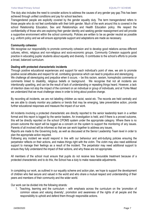The duty also includes the need to consider actions to address the causes of any gender pay gap.This has been achieved through unified conditions and pay for school teachers.

Transgendered people are explicitly covered by the gender equality duty. The term transgendered refers to those people who do not feel comfortable with their birth gender. Much of the work around this is covered in the school Relationship Education, Sex and Relationships and Health Education policy. We respect the confidentiality of those who are exploring their gender identity and seeking gender reassignment and will provide a supportive environment within the school community. Policies are written to be as gender neutral as possible e.g. uniform policy and we will ensure appropriate support and adaptations are made as necessary.

### **Community cohesion**

We recognise our responsibility to promote community cohesion and to develop good relations across different cultures, ethnic, religious and non-religious and socio-economic groups. Community Cohesion supports good practice in educating pupils/ students about equality and diversity. It contributes to the school's efforts to provide a broad, balanced curriculum.

### **Dealing with protected characteristic incidents**

Through positive educational experiences and support for each individual's point of view, we aim to promote positive social attitudes and respect for all, combating ignorance which can lead to prejudice and stereotyping. We challenge all stereotyping and prejudice when it occurs. – be this racism, sexism, homophobic comments or comments linked to disability, religious beliefs or background. We recognise that not all incidents are intentionally upsetting, and can be the result of lack of understanding or repeating things heard. However, a lack of intention does not stop the impact of the comment on an individual or group of individuals, and at Yorke Mead we understand that we must challenge views in order to bring about positive change.

By recording all incidents, we are not labelling children as racist, sexist etc. The records are held centrally and we are able to closely monitor any patterns or trends that may be emerging, take preventative action, provide further educational responses and measure the impact of our work.

All incidents involving a protected characteristic are directly reported to the senior leadership team in a written format and this report is logged by the senior leaders. An investigation is held, and if there is a proved outcome, this will be directly reported on the school CPOMS system under the appropriate category. Where there is no proven outcome the report will be logged as a concern on the system to support the monitoring of any issues. Parents of all involved will be informed so that we can work together to address any issues.

Reports are made to the Governing body, as well as discussed at the Senior Leadership Team level in order to plan the appropriate action required.

Following any incident we would respond in line with our behaviour and anti-bullying policies ensuring the perpetrator reflects on their actions, and makes things right with the victim. The victim may also need additional support to manage their feelings as a result of the incident. The perpetrator may need additional support to ensure they fully understand the impact of their actions, and why these are not appropriate.

All members of the school must ensure that pupils do not receive less favourable treatment because of a protected characteristic and to do this, the School has a duty to make reasonable adjustments.

In completing our work, as outlined in our equality scheme and action plan, we hope to support the development of children who feel secure and valued in the world and who share a mutual respect and understanding of their peers and members of their community and the wider world.

Our work can be divided into the following strands:

1. Teaching, learning and the curriculum – with emphasis across the curriculum on the 'promotion of common values and valuing diversity', promotion and awareness of the rights of all people and the responsibility to uphold and defend them through responsible actions.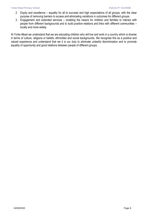- 2. Equity and excellence equality for all to succeed and high expectations of all groups, with the clear purpose of removing barriers to access and eliminating variations in outcomes for different groups.
- 3. Engagement and extended services enabling the means for children and families to interact with people from different backgrounds and to build positive relations and links with different communities – locally and more widely.

At Yorke Mead we understand that we are educating children who will live and work in a country which is diverse in terms of culture, religions or beliefs, ethnicities and social backgrounds. We recognise this as a positive and valued experience and understand that we it is our duty to eliminate unlawful discrimination and to promote equality of opportunity and good relations between people of different groups.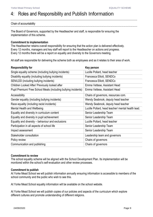### <span id="page-8-0"></span>4: Roles and Responsibility and Publish Information

### Chain of accountability

The Board of Governors, supported by the Headteacher and staff, is responsible for ensuring the implementation of this scheme.

### **Commitment to implementation**

The Headteacher retains overall responsibility for ensuring that the action plan is delivered effectively. Every 12 months, managers and key staff will report to the Headteacher on actions and progress. Every 12 months there will be a report on equality and diversity to the Governors meeting.

All staff are responsible for delivering the scheme both as employees and as it relates to their area of work.

| <b>Responsibility for</b>                                       | Key person                                         |
|-----------------------------------------------------------------|----------------------------------------------------|
| Single equality scheme (including bullying incidents)           | Lucille Pollard, head teacher                      |
| Disability equality (including bullying incidents)              | Francesca Elliott, SENDCo                          |
| SEN/LDD (including bullying incidents)                          | Francesca Elliott, SENDCo                          |
| Children Looked After/ Previously looked after                  | Emma Vettese, Assistant Head                       |
| Pupil Premium/ Free School Meals (including bullying incidents) | Emma Vettese, Assistant Head                       |
| Accessibility                                                   | Chairs of governors, resources com.                |
| Gender equality (including bullying incidents)                  | Wendy Seabrook, deputy head teacher                |
| Race equality (including racist incidents)                      | Wendy Seabrook, deputy head teacher                |
| Mental Health and Wellbeing                                     | Lucille Pollard, head teacher/ mental health lead. |
| Equality and diversity in curriculum content                    | Senior Leadership Team                             |
| Equality and diversity in pupil achievement                     | Senior Leadership Team                             |
| Equality and diversity – behaviour and exclusions               | Lucille Pollard, head teacher                      |
| Participation in all aspects of school life                     | Senior Leadership Team                             |
| Impact assessment                                               | Senior Leadership Team                             |
| Stakeholder consultation                                        | Leadership team and governors                      |
| Policy review                                                   | Chairs of governors                                |
| Communication and publishing                                    | Chairs of governors                                |

### **Commitment to review**

The school equality scheme will be aligned with the School Development Plan. Its implementation will be monitored within the school's self-evaluation and other review processes.

### **Commitment to publish**

At Yorke Mead School we will publish information annually ensuring information is accessible to members of the school community and the public who wish to see this.

At Yorke Mead School equality information will be available on the school website.

At Yorke Mead School we will publish copies of our policies and aspects of the curriculum which explore different cultures and promote understanding of different religions.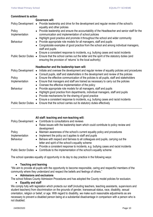### **Commitment to action**

|                           | <b>Governors will:</b>                                                                                                                                                                         |
|---------------------------|------------------------------------------------------------------------------------------------------------------------------------------------------------------------------------------------|
| <b>Policy Development</b> | Provide leadership and drive for the development and regular review of the school's<br>$\bullet$<br>equality and other policies                                                                |
| Policy<br>Implementation  | Provide leadership and ensure the accountability of the Headteacher and senior staff for the<br>$\bullet$<br>communication and implementation of school policies                               |
|                           | Highlight good practice and promote it throughout the school and wider community<br>$\bullet$                                                                                                  |
| <b>Behaviour</b>          | Provide appropriate role models for all managers, staff and pupils<br>$\bullet$                                                                                                                |
|                           | Congratulate examples of good practice from the school and among individual managers,<br>$\bullet$<br>staff and pupils                                                                         |
|                           | Ensure a consistent response to incidents, e.g. bullying cases and racist incidents<br>$\bullet$                                                                                               |
|                           | Public Sector Duties • Ensure that the school carries out the letter and the spirit of the statutory duties (and<br>ensuring the provision of 'returns' to the local authority)                |
|                           |                                                                                                                                                                                                |
|                           |                                                                                                                                                                                                |
| <b>Policy Development</b> | Headteacher and the leadership team will:<br>Initiate and oversee the development and regular review of equality policies and procedures<br>$\bullet$<br>$\bullet$                             |
| Policy                    | Consult pupils, staff and stakeholders in the development and review of the policies<br>Ensure the effective communication of the policies to all pupils, staff and stakeholders<br>$\bullet$  |
| Implementation            | Ensure that managers and staff are trained as necessary to carry out the policies<br>$\bullet$<br>$\bullet$                                                                                    |
| <b>Behaviour</b>          | Oversee the effective implementation of the policy<br>Provide appropriate role models for all managers, staff and pupils<br>$\bullet$                                                          |
|                           | Highlight good practice from departments, individual managers, staff and pupils<br>$\bullet$                                                                                                   |
|                           | Provide mechanisms for the sharing of good practice<br>$\bullet$                                                                                                                               |
|                           | Ensure a consistent response to incidents, e.g. bullying cases and racist incidents<br>$\bullet$<br>Public Sector Duties • Ensure that the school carries out its statutory duties effectively |

|                          | All staff: teaching and non-teaching will:<br>Policy Development • Contribute to consultations and reviews<br>• Raise issues with the leadership team which could contribute to policy review and<br>development |
|--------------------------|------------------------------------------------------------------------------------------------------------------------------------------------------------------------------------------------------------------|
| Policy<br>Implementation | • Maintain awareness of the school's current equality policy and procedures<br>Implement the policy as it applies to staff and pupils<br>$\bullet$                                                               |
| <b>Behaviour</b>         | Behave with respect and fairness to all colleagues and pupils, carrying out the<br>letter and spirit of the school's equality scheme                                                                             |
|                          | • Provide a consistent response to incidents, e.g. bullying cases and racist incidents<br>Public Sector Duties ● Contribute to the implementation of the school's equality scheme                                |

The school operates equality of opportunity in its day to day practice in the following ways:

### **Teaching and learning**

"We aim to provide all pupils with the opportunity to become responsible, caring and respectful members of the community where they understand and respect the beliefs and feelings of others."

### **Admissions and exclusions**

The school follows County Admission Procedures and has adopted the County model policies for exclusion.

### **Equality and staff**

We comply fully with legislation which protects our staff (including teachers, teaching assistants, supervisors and student teachers) from discrimination on the grounds of gender, transsexual status, race, disability, sexual orientation, religion or belief, or age. With regard to disability, we make such reasonable adjustments as are necessary to prevent a disabled person being at a substantial disadvantage in comparison with a person who is not disabled.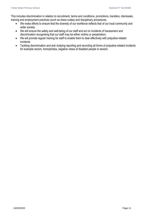This includes discrimination in relation to recruitment, terms and conditions, promotions, transfers, dismissals, training and employment practices (such as dress codes) and disciplinary procedures.

- We make efforts to ensure that the diversity of our workforce reflects that of our local community and wider society.
- We will ensure the safety and well-being of our staff and act on incidents of harassment and discrimination recognising that our staff may be either victims or perpetrators.
- We will provide regular training for staff to enable them to deal effectively with prejudice-related incidents
- Tackling discrimination and anti–bullying reporting and recording all forms of prejudice-related incidents for example racism, homophobia, negative views of disabled people or sexism.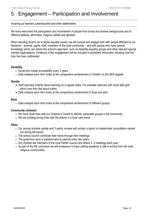### <span id="page-11-0"></span>5: Engagement – Participation and Involvement

#### Involving our learners, parents/carers and other stakeholders

We have welcomed the participation and involvement of people from broad and diverse backgrounds and of different abilities, ethnicities, religious beliefs and genders.

When deciding what to do to tackle equality issues, we will consult and engage both with people affected by our decisions - parents, pupils, staff, members of the local community – and with people who have special knowledge which can inform the school's approach, such as disability equality groups and other relevant special interest organisations. Evidence of this engagement will be included in published information showing how the duty has been addressed.

### **Disability**

- Governors review accessibility every 3 years.
- Data analysis each term looks at the comparative achievement of children on the SEN register

### **Gender**

- Staff interview children about learning on a regular basis. For example interview with more able girls about how they feel about maths.
- Data analysis each term looks at the comparative achievement of boys and girls.

### **Race**

Data analysis each term looks at the comparative achievement of different groups.

### **Community cohesion**

- We have close links with our Children's Centre to identify vulnerable groups in the community.
- We are building strong links with the elderly in a local care home.

### **Other**

- Our annual scheme update and 3 yearly reviews will contain a report on stakeholder consultation carried out during the period.
- The school council contribute their views through their meetings.
- The governors send a questionnaire to parents every two years.
- Our children are members of the local Parish Council and attend 2 -3 meetings each year.
- As part of the RE curriculum we will endeavour to have visiting speakers to talk to school from the main religious communities.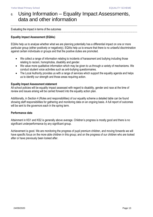### <span id="page-12-0"></span>6: Using Information – Equality Impact Assessments, data and other information

Evaluating the impact in terms of the outcomes

### **Equality Impact Assessment (EQIAs)**

EQIAs help us to analyse whether what we are planning potentially has a differential impact on one or more particular group (either positively or negatively). EQIAs help us to ensure that there is no unlawful discrimination against certain individuals or groups and that the positive duties are promoted.

- We collect a range of information relating to incidents of harassment and bullying including those relating to racism, homophobia, disability and gender.
- We value more qualitative information which may be given to us through a variety of mechanisms. We conduct student voice activities such as anti-bullying questionnaires.
- The Local Authority provides us with a range of services which support the equality agenda and helps us to identify our strength and those areas requiring action.

### **Equality Impact Assessment statement**

All school policies will be equality impact assessed with regard to disability, gender and race at the time of review and issues arising will be carried forward into the equality action plan.

Additionally, in Section 4 (Roles and responsibilities) of our equality scheme a detailed table can be found showing staff responsibilities for gathering and monitoring data on an ongoing basis. A full report of outcomes will be sent to the governors each in the spring term.

### **Performance data**

Attainment in KS1 and KS2 is generally above average. Children's progress is mostly good and there is no significant underperformance by any significant group.

Achievement is good. We are monitoring the progress of pupil premium children, and moving forwards we will have specific focus on the more able children in this group; and on the progress of our children who are looked after or have previously been looked after.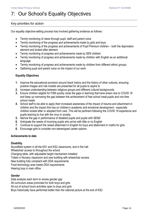### <span id="page-13-0"></span>7: Our School's Equality Objectives

### Key priorities for action

Our equality objective-setting process has involved gathering evidence as follows:

- Termly monitoring of views through pupil, staff and parent voice
- Termly monitoring of the progress and achievements made by girls and boys
- Termly monitoring of the progress and achievements of Pupil Premium children both the deprivation element and looked after element.
- Termly monitoring of progress and achievements made by SEN children
- Termly monitoring of progress and achievements made by children with English as an additional language
- Termly monitoring of progress and achievements made by children from different ethnic groups
- Gathering pupil and parent voice on the impact of our work

### **Equality Objectives**

- **1.** Improve the educational provision around black history and the history of other cultures, ensuring positive images and role models are presented for all pupils to aspire to
- **2.** Increase understanding between religious groups and different cultural backgrounds
- **3.** Ensure children eligible for FSM quickly close the gaps in learning that have arisen due to COVID 19 and keep up narrowing the gap between the achievement of free school meal pupils and non-free school meals
- **4.** School staff to be able to apply their increased awareness of the impact of trauma and attachment in children and the impact this has on children's academic and emotional development - especially children looked after or adopted from care. This will be pertinent following the COVID 19 experience and pupils learning to live with the virus in society.
- **5.** Narrow the gap in performance of disabled pupils and pupils with SEND
- **6.** Anticipate the needs of incoming pupils who arrive with little or no English
- **7.** Continue to support the raised attainment in English for boys and attainment in maths for girls
- **8.** Encourage girls to consider non-stereotyped career options

### **Achievements to date**

### **Disability**

Soundfield system in all the KS1 and KS2 classrooms, and in the hall Wheelchair access to throughout the school Changing table, with adjustable height mechanism installed Toilets in Nursery classroom and new building with wheelchair access New building fully compliant with DDA requirements Food technology area meets DDA requirements Hearing loop in main office

### **Gender**

Data analysis each term to review gender gap All curriculum areas promoted for both boys and girls All out of school hours activities open to boys and girls Boys historically have performed better than the national picture at the end of KS2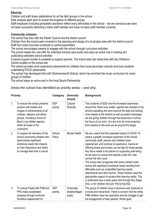### **Ethnicity**

Children and staff share celebrations for all the faith groups in the school

Data analysis each term to review the progress of different groups

Staff employed (including peripatetic teachers) reflect many ethnicities in the school – we are conscious we have not been successful attracting a black staff member and have no black staff member currently.

### **Community cohesion**

The school has links with the Parish Council and the district council

Children from the school were involved in the planning and design of a local play area with the district council Staff from local churches contribute to school assemblies

The school encourages parents to engage with the school through curriculum activities

The school meets the core offer for extended schools (see audit) and plays an active role in hosting and publicising extended school activities

A parent support worker is available to support parents. The school also has close links with the Children's Centre located on the school site

The school provides work experience placements for children form local secondary schools and local students undertaking PGCE placements

The school has developed links with Rickmansworth School, which has enriched the music curriculum for some groups of children

The school plays an active part in the local Sports Partnership

### Areas the school has identified as priority areas – and why

|    | <b>Priority</b>                                                                                                                                                                                                                            | Category               | <b>Diversity</b><br>strand             | <b>Background</b>                                                                                                                                                                                                                                                                                                                                                                                                                                                                                                                                                                                                                                                                                                                                                                                                              |
|----|--------------------------------------------------------------------------------------------------------------------------------------------------------------------------------------------------------------------------------------------|------------------------|----------------------------------------|--------------------------------------------------------------------------------------------------------------------------------------------------------------------------------------------------------------------------------------------------------------------------------------------------------------------------------------------------------------------------------------------------------------------------------------------------------------------------------------------------------------------------------------------------------------------------------------------------------------------------------------------------------------------------------------------------------------------------------------------------------------------------------------------------------------------------------|
| 1. | To ensure the school presents<br>positive role models and<br>images of achievements of all<br>cultures, religions and ethnic<br>groups, including a focus on<br><b>Black Lives Matter agenda</b><br>within all areas of the<br>curriculum. | <b>SDP</b><br>priority | Cultural<br><b>Diversity</b>           | The incidents of 2020 and the increased awareness<br>around the 'black lives matter' agenda has resulted in the<br>school evaluating this work beyond the data and looking<br>more deeply at the implicit as well as explicit messages<br>we are giving children through the resources in school,<br>the focus of our work. Our aim is to be more proactive<br>than reactive in the work we do around this target.                                                                                                                                                                                                                                                                                                                                                                                                             |
| 2. | To support all members of the<br>school community children who<br>demonstrate significant<br>emotional needs that impacts<br>on their behaviours and ability<br>to manage their time in school                                             | School<br>Policy       | <b>Mental Health</b>                   | We are aware that the extended impact of COVID 19<br>means a greatly increased proportion of the school<br>community (staff, parents and children) have<br>experienced, and continue to experience, trauma at<br>differing levels and anxiety can be high for these people.<br>Key focus needs to be placed on supporting well-being<br>as we return to school and operate under the 'new<br>normal' life with covid.<br>The school also recognises that some children enter<br>school with significant emotional needs resulting from<br>difficulties such as unidentified learning needs,<br>attachments and other factors. These children need the<br>appropriate support to access their learning safely. This<br>is particularly key in early years and through Key Stage<br>One, or for children who join YM during KS2. |
| 3. | To ensure Pupils with FSM and<br>PPG make accelerated<br>progress through continual<br>formative assessment for                                                                                                                            | <b>SDP</b><br>priority | Financially<br>disadvantaged<br>pupils | This group of children have in previous year achieved at<br>a broad and mixed level. There is concern that the white,<br>FSM children have low aspiration and we struggle to get<br>the engagement of their parents. Whilst good                                                                                                                                                                                                                                                                                                                                                                                                                                                                                                                                                                                               |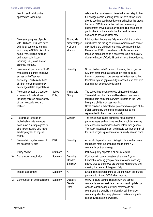|    | learning and individualised<br>approaches to learning.                                                                                                                                                                                          |                  |                                                        | relationships have been achieved - the next step to their<br>full engagement in learning. Prior to Covid 19 we were<br>able to see improved attendance at school for this group,<br>but once CV19 hit and schools closed maintaining<br>engagement proved extremely challenging. We need to<br>get this back on track and allow the positive steps<br>achieved to develop further now. |
|----|-------------------------------------------------------------------------------------------------------------------------------------------------------------------------------------------------------------------------------------------------|------------------|--------------------------------------------------------|----------------------------------------------------------------------------------------------------------------------------------------------------------------------------------------------------------------------------------------------------------------------------------------------------------------------------------------------------------------------------------------|
| 4. | To ensure progress of pupils<br>with FSM and PPG, who have<br>additional barriers to learning<br>which maybe SEND, disruptive<br>home lives, multiple settings<br>and other social issues,<br>including EAL, make similar<br>progress to peers. |                  | Financially<br>disadvantaged<br>+ all other<br>strands | It is important that we are fully aware of all the barriers<br>our children are facing as we may overcome one barrier<br>only leaving the child facing a huge alternative barrier.<br>Many of our PPG children have multiple barriers and<br>these children need to be a priority for focus particularly<br>given the impact of Covid 19 on their recent experiences.                  |
| 5. | To ensure all pupils with SEND<br>make good progress and have<br>access to the Teacher<br>frequently - particularly those<br>children working significantly<br>below age related expectations                                                   |                  | <b>Disability</b>                                      | Some children with SEN are not making the progress in<br>KS2 that other groups are making in core subjects -<br>these children need more access to the teacher so that<br>their learning and gaps are fully assessed, and next step<br>planning can be securely delivered.                                                                                                             |
| 6. | To ensure school is a positive<br>experience for all children<br>including children with a variety<br>of family experiences and<br>makeup.                                                                                                      | School<br>Policy | Vulnerable<br>Group                                    | The school has a sizable group of adopted children.<br>These children often face additional emotional needs<br>resulting from early trauma which impacts on their well-<br>being and ability to access learning.<br>Some children in school have parents who are part of the<br>LGBT community and these children need to feel<br>represented in the school community.                 |
| 7. | To continue to focus on<br>individual cohorts to ensure<br>boys make similar progress to<br>girls in writing, and girls make<br>similar progress to boys in<br>maths.                                                                           |                  | Gender                                                 | The school has placed significant focus on this in<br>previous years and we have reached a point where any<br>differences are cohort/class based rather than generic.<br>This work must not be lost and should continue as part of<br>the pupil progress procedures we currently have in place.                                                                                        |
| 8  | To maintain regular review of<br>the accessibility plan                                                                                                                                                                                         | <b>DDA</b>       | <b>Disability</b>                                      | Accessibility plan for new building in place and updates<br>required to meet the changing needs of the YM<br>community as they emerge.                                                                                                                                                                                                                                                 |
| 9  | Policy review                                                                                                                                                                                                                                   | Statutory        | All                                                    | Include equality aspects in all policy reviews.                                                                                                                                                                                                                                                                                                                                        |
| 10 | Stakeholder consultation                                                                                                                                                                                                                        | Statutory        | <b>Disability</b><br>Gender<br>Ethnicity               | Continue with parent questionnaire every 2 years.<br>Establish a working group of parents around each key<br>priority area to ensure we are working with parents and<br>meeting the needs of the group fully                                                                                                                                                                           |
| 11 | Impact assessment                                                                                                                                                                                                                               | Statutory        | All                                                    | Ensure consistent reporting to GB and return of statutory<br>proforma to LA and DCSF when required.                                                                                                                                                                                                                                                                                    |
| 12 | Communication and publishing                                                                                                                                                                                                                    | Statutory        | <b>Disability</b><br>Gender<br>Race                    | We will ensure communications with the school<br>community are accessible and easy to read, update our<br>website to include more explicit reference to our<br>commitment to equality and diversity, tell the school<br>community about equality plane and make appropriate<br>copies available on the website.                                                                        |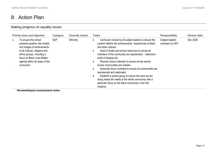### 8: Action Plan

### Making progress on equality issues

| Priority issue and objective                                                                                                                                                                                                        | Category   | Diversity strand | <b>Tasks</b>                                                                                                                                                                                                                                                                                                                                                                                                                                                                                                                                                                                                                                                             | Responsibility                     | Review date |
|-------------------------------------------------------------------------------------------------------------------------------------------------------------------------------------------------------------------------------------|------------|------------------|--------------------------------------------------------------------------------------------------------------------------------------------------------------------------------------------------------------------------------------------------------------------------------------------------------------------------------------------------------------------------------------------------------------------------------------------------------------------------------------------------------------------------------------------------------------------------------------------------------------------------------------------------------------------------|------------------------------------|-------------|
| To ensure the school<br>presents positive role models<br>and images of achievements<br>of all cultures, religions and<br>ethnic groups, including a<br>focus on Black Lives Matter<br>agenda within all areas of the<br>curriculum. | <b>SDP</b> | Ethnicity        | Curriculum review by all subject leaders to ensure the<br>content reflects the achievements / experiences of black<br>and other cultures.<br>Audit of books and school resources to ensure all<br>$\bullet$<br>members of the community are represented - classroom<br>audit of displays etc.<br>Planned school calendar to ensure all key events<br>$\bullet$<br>across communities are marked<br>Assembly focus reviewed to ensure all communities are<br>represented and celebrated<br>Establish a parent group to ensure the work we are<br>doing meets the needs of the whole community with a<br>particular focus on the black community in the first<br>instance. | Subject leaders<br>overseen by DHT | Dec 2020    |

<span id="page-16-0"></span>**Review/impact assessment notes**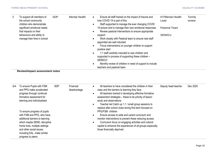| Staff supported to manage the ever changing COVID<br>19 picture and to manage their own emotional responses.<br><b>Pastoral Team</b><br>Review pastoral interventions to ensure appropriate<br><b>SENDCo</b><br>support.<br>Work closely with Pastoral team to ensure new staff<br>appointed are well inducted<br>Focus interventions on younger children to support<br>positive start<br>1:1 staff carefully inducted to new children and<br>supported in process of supporting these children -<br><b>SENDCO</b><br>Monthly review of children in need of support to include |          |
|--------------------------------------------------------------------------------------------------------------------------------------------------------------------------------------------------------------------------------------------------------------------------------------------------------------------------------------------------------------------------------------------------------------------------------------------------------------------------------------------------------------------------------------------------------------------------------|----------|
| teachers and pastoral team<br><b>Review/impact assessment notes</b><br><b>SDP</b><br>All teachers to have considered the children in their<br>Financial<br>Deputy head teacher<br>class and the barriers to learning they face.<br>disadvantage<br>All teachers trained in developing effective formative                                                                                                                                                                                                                                                                      | Dec 2020 |
| assessment strategies – these to be priority of lesson<br>study and observations<br>Topohor lod Catabun 1:1 Lamall aroun accordo to                                                                                                                                                                                                                                                                                                                                                                                                                                            |          |

To ensure progress of pupils with FSM and PPG, who have additional barriers to learning which maybe SEND, disruptive home lives, multiple settings and other social issues, including EAL, make similar progress to peers.

• Teacher led Catch up 1:1 / small group sessions to replace after school clubs during first term focused on PPG/FSM children

 Ensure access to wide and varied curriculum and monitor interventions to prevent these reducing access.

 Curriculum focus on engaging activities and cultural capital to enhance the experiences of all groups especially those financially deprived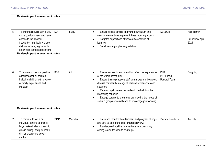#### **Review/impact assessment notes**

| 5              | To ensure all pupils with SEND<br>make good progress and have<br>access to the Teacher<br>frequently - particularly those<br>children working significantly<br>below age related expectations<br><b>Review/impact assessment notes</b> | <b>SDP</b> | <b>SEND</b> | Ensure access to wide and varied curriculum and<br>monitor interventions to prevent these reducing access.<br>Targeted support and effective differentiation of<br>learning<br>Small step target planning with key                                                                                                                                                                                                            | <b>SENDCo</b>                            | Half-Termly<br>Full review April<br>2021 |
|----------------|----------------------------------------------------------------------------------------------------------------------------------------------------------------------------------------------------------------------------------------|------------|-------------|-------------------------------------------------------------------------------------------------------------------------------------------------------------------------------------------------------------------------------------------------------------------------------------------------------------------------------------------------------------------------------------------------------------------------------|------------------------------------------|------------------------------------------|
| 6              | To ensure school is a positive<br>experience for all children<br>including children with a variety<br>of family experiences and<br>makeup.                                                                                             | <b>SDP</b> | All         | Ensure access to resources that reflect the experiences<br>of the whole community.<br>Ensure training supports staff to manage and be able to<br>discuss confidently a range of personal experiences and<br>situations<br>Regular pupil voice opportunities to be built into the<br>monitoring schedule<br>Engage parents to ensure we are meeting the needs of<br>specific groups effectively and to encourage joint working | <b>DHT</b><br>PSHE lead<br>Pastoral Team | On going                                 |
|                | <b>Review/impact assessment notes</b>                                                                                                                                                                                                  |            |             |                                                                                                                                                                                                                                                                                                                                                                                                                               |                                          |                                          |
| $\overline{7}$ | To continue to focus on<br>individual cohorts to ensure<br>boys make similar progress to<br>girls in writing, and girls make<br>similar progress to boys in<br>maths.                                                                  | <b>SDP</b> | Gender      | Track and monitor the attainment and progress of boys<br>and girls as part of the pupil progress reviews<br>Plan targeted positive interventions to address any<br>arising issues for cohorts or groups                                                                                                                                                                                                                       | <b>Senior Leaders</b>                    | Termly                                   |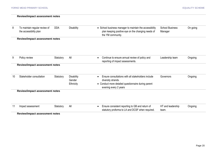|    | <b>Review/impact assessment notes</b>                   |            |                                          |                                                                                                                                                                       |                                   |          |
|----|---------------------------------------------------------|------------|------------------------------------------|-----------------------------------------------------------------------------------------------------------------------------------------------------------------------|-----------------------------------|----------|
| 8  | To maintain regular review of<br>the accessibility plan | <b>DDA</b> | <b>Disability</b>                        | • School business manager to maintain the accessibility<br>plan keeping positive eye on the changing needs of<br>the YM community.                                    | <b>School Business</b><br>Manager | On going |
|    | <b>Review/impact assessment notes</b>                   |            |                                          |                                                                                                                                                                       |                                   |          |
| 9  | Policy review                                           | Statutory  | All                                      | Continue to ensure annual review of policy and<br>$\bullet$<br>reporting of impact assessments.                                                                       | Leadership team                   | Ongoing  |
|    | <b>Review/impact assessment notes</b>                   |            |                                          |                                                                                                                                                                       |                                   |          |
| 10 | Stakeholder consultation                                | Statutory  | <b>Disability</b><br>Gender<br>Ethnicity | Ensure consultations with all stakeholders include<br>$\bullet$<br>diversity strands.<br>• Conduct more detailed questionnaire during parent<br>evening every 2 years | Governors                         | Ongoing  |
|    | <b>Review/impact assessment notes</b>                   |            |                                          |                                                                                                                                                                       |                                   |          |
|    |                                                         |            |                                          |                                                                                                                                                                       |                                   |          |
| 11 | Impact assessment                                       | Statutory  | All                                      | Ensure consistent reporting to GB and return of<br>$\bullet$<br>statutory proforma to LA and DCSF when required.                                                      | HT and leadership<br>team.        | Ongoing  |

**Review/impact assessment notes**